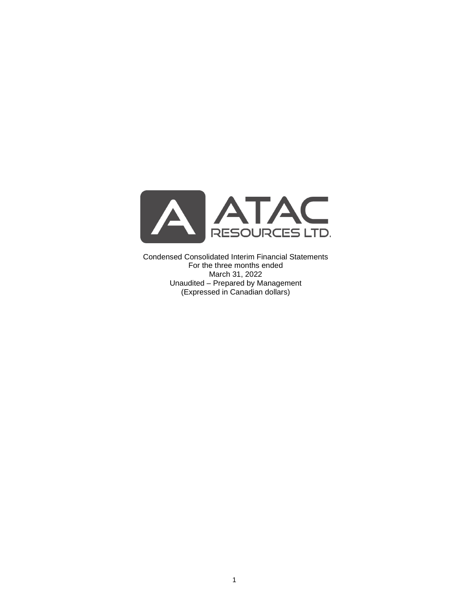

Condensed Consolidated Interim Financial Statements For the three months ended March 31, 2022 Unaudited – Prepared by Management (Expressed in Canadian dollars)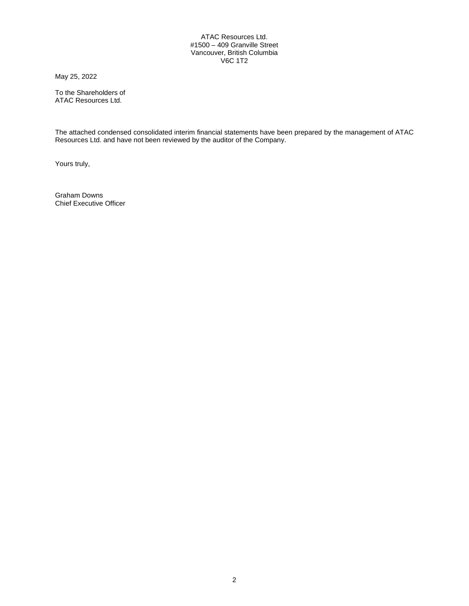## ATAC Resources Ltd. #1500 – 409 Granville Street Vancouver, British Columbia V6C 1T2

May 25, 2022

To the Shareholders of ATAC Resources Ltd.

The attached condensed consolidated interim financial statements have been prepared by the management of ATAC Resources Ltd. and have not been reviewed by the auditor of the Company.

Yours truly,

Graham Downs Chief Executive Officer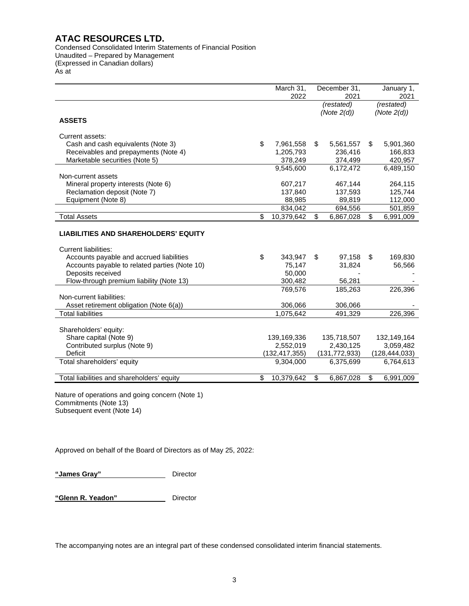Condensed Consolidated Interim Statements of Financial Position Unaudited – Prepared by Management (Expressed in Canadian dollars) As at

|                                               | March 31,<br>2022 |            | December 31,<br>2021 | January 1,<br>2021 |                 |
|-----------------------------------------------|-------------------|------------|----------------------|--------------------|-----------------|
|                                               |                   | (restated) |                      | (restated)         |                 |
|                                               |                   |            | (Note $2(d)$ )       |                    | (Note $2(d)$ )  |
| <b>ASSETS</b>                                 |                   |            |                      |                    |                 |
| Current assets:                               |                   |            |                      |                    |                 |
| Cash and cash equivalents (Note 3)            | \$<br>7,961,558   | \$         | 5,561,557            | \$                 | 5,901,360       |
| Receivables and prepayments (Note 4)          | 1,205,793         |            | 236,416              |                    | 166,833         |
| Marketable securities (Note 5)                | 378,249           |            | 374,499              |                    | 420,957         |
|                                               | 9,545,600         |            | 6,172,472            |                    | 6,489,150       |
| Non-current assets                            |                   |            |                      |                    |                 |
| Mineral property interests (Note 6)           | 607,217           |            | 467,144              |                    | 264,115         |
| Reclamation deposit (Note 7)                  | 137,840           |            | 137,593              |                    | 125,744         |
| Equipment (Note 8)                            | 88,985            |            | 89,819               |                    | 112,000         |
|                                               | 834,042           |            | 694,556              |                    | 501,859         |
| <b>Total Assets</b>                           | \$<br>10,379,642  | \$         | 6,867,028            | \$                 | 6,991,009       |
| <b>LIABILITIES AND SHAREHOLDERS' EQUITY</b>   |                   |            |                      |                    |                 |
| <b>Current liabilities:</b>                   |                   |            |                      |                    |                 |
| Accounts payable and accrued liabilities      | \$<br>343,947     | \$         | 97,158               | \$                 | 169,830         |
| Accounts payable to related parties (Note 10) | 75,147            |            | 31,824               |                    | 56,566          |
| Deposits received                             | 50,000            |            |                      |                    |                 |
| Flow-through premium liability (Note 13)      | 300,482           |            | 56,281               |                    |                 |
| Non-current liabilities:                      | 769.576           |            | 185,263              |                    | 226,396         |
| Asset retirement obligation (Note 6(a))       | 306,066           |            | 306,066              |                    |                 |
| <b>Total liabilities</b>                      | 1,075,642         |            | 491,329              |                    | 226,396         |
|                                               |                   |            |                      |                    |                 |
| Shareholders' equity:                         |                   |            |                      |                    |                 |
| Share capital (Note 9)                        | 139,169,336       |            | 135,718,507          |                    | 132,149,164     |
| Contributed surplus (Note 9)                  | 2,552,019         |            | 2,430,125            |                    | 3,059,482       |
| <b>Deficit</b>                                | (132, 417, 355)   |            | (131, 772, 933)      |                    | (128, 444, 033) |
| Total shareholders' equity                    | 9,304,000         |            | 6,375,699            |                    | 6,764,613       |
| Total liabilities and shareholders' equity    | \$<br>10,379,642  | \$         | 6,867,028            | \$                 | 6,991,009       |

Nature of operations and going concern (Note 1) Commitments (Note 13) Subsequent event (Note 14)

Approved on behalf of the Board of Directors as of May 25, 2022:

**"James Gray"** Director

**"Glenn R. Yeadon"** Director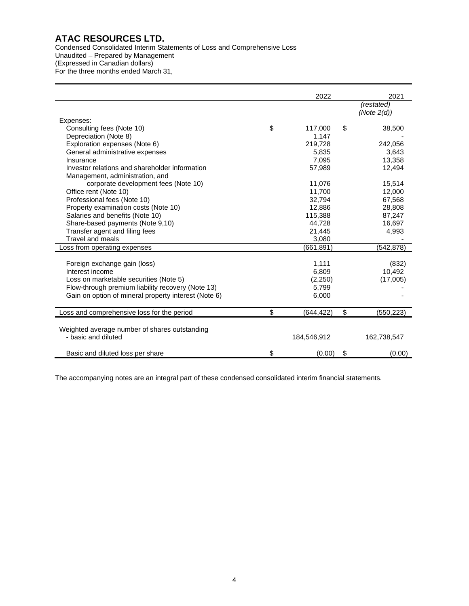Condensed Consolidated Interim Statements of Loss and Comprehensive Loss Unaudited – Prepared by Management (Expressed in Canadian dollars) For the three months ended March 31,

|                                                      | 2022            | 2021                         |
|------------------------------------------------------|-----------------|------------------------------|
|                                                      |                 | (restated)<br>(Note $2(d)$ ) |
| Expenses:                                            |                 |                              |
| Consulting fees (Note 10)                            | \$<br>117,000   | \$<br>38,500                 |
| Depreciation (Note 8)                                | 1,147           |                              |
| Exploration expenses (Note 6)                        | 219,728         | 242,056                      |
| General administrative expenses                      | 5,835           | 3,643                        |
| Insurance                                            | 7,095           | 13,358                       |
| Investor relations and shareholder information       | 57,989          | 12,494                       |
| Management, administration, and                      |                 |                              |
| corporate development fees (Note 10)                 | 11,076          | 15,514                       |
| Office rent (Note 10)                                | 11,700          | 12,000                       |
| Professional fees (Note 10)                          | 32,794          | 67,568                       |
| Property examination costs (Note 10)                 | 12,886          | 28,808                       |
| Salaries and benefits (Note 10)                      | 115,388         | 87,247                       |
| Share-based payments (Note 9,10)                     | 44,728          | 16,697                       |
| Transfer agent and filing fees                       | 21,445          | 4,993                        |
| <b>Travel and meals</b>                              | 3,080           |                              |
| Loss from operating expenses                         | (661, 891)      | (542,878)                    |
| Foreign exchange gain (loss)                         | 1,111           | (832)                        |
| Interest income                                      | 6,809           | 10,492                       |
| Loss on marketable securities (Note 5)               | (2,250)         | (17,005)                     |
| Flow-through premium liability recovery (Note 13)    | 5,799           |                              |
| Gain on option of mineral property interest (Note 6) | 6,000           |                              |
| Loss and comprehensive loss for the period           | \$<br>(644,422) | \$<br>(550,223)              |
|                                                      |                 |                              |
| Weighted average number of shares outstanding        |                 |                              |
| - basic and diluted                                  | 184,546,912     | 162,738,547                  |
| Basic and diluted loss per share                     | \$<br>(0.00)    | \$<br>(0.00)                 |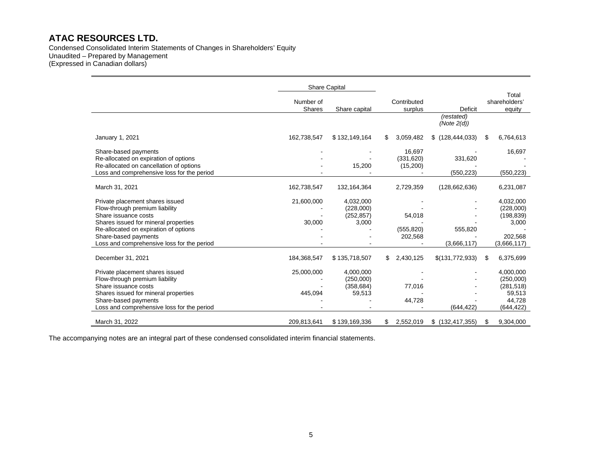Condensed Consolidated Interim Statements of Changes in Shareholders' Equity Unaudited – Prepared by Management (Expressed in Canadian dollars)

|                                                                                                                                                                                                         |                       | <b>Share Capital</b>                           |                                 |                              |                                                                        |
|---------------------------------------------------------------------------------------------------------------------------------------------------------------------------------------------------------|-----------------------|------------------------------------------------|---------------------------------|------------------------------|------------------------------------------------------------------------|
|                                                                                                                                                                                                         | Number of<br>Shares   | Share capital                                  | Contributed<br>surplus          | <b>Deficit</b>               | Total<br>shareholders'<br>equity                                       |
|                                                                                                                                                                                                         |                       |                                                |                                 | (restated)<br>(Note $2(d)$ ) |                                                                        |
| January 1, 2021                                                                                                                                                                                         | 162,738,547           | \$132,149,164                                  | 3,059,482<br>S.                 | \$(128, 444, 033)            | 6,764,613<br>S                                                         |
| Share-based payments<br>Re-allocated on expiration of options<br>Re-allocated on cancellation of options<br>Loss and comprehensive loss for the period                                                  |                       | 15,200                                         | 16,697<br>(331,620)<br>(15,200) | 331,620<br>(550, 223)        | 16,697<br>(550, 223)                                                   |
| March 31, 2021                                                                                                                                                                                          | 162,738,547           | 132, 164, 364                                  | 2,729,359                       | (128, 662, 636)              | 6,231,087                                                              |
| Private placement shares issued<br>Flow-through premium liability<br>Share issuance costs                                                                                                               | 21,600,000            | 4,032,000<br>(228,000)<br>(252, 857)           | 54,018                          |                              | 4,032,000<br>(228,000)<br>(198, 839)                                   |
| Shares issued for mineral properties<br>Re-allocated on expiration of options<br>Share-based payments<br>Loss and comprehensive loss for the period                                                     | 30,000                | 3,000                                          | (555, 820)<br>202,568           | 555,820<br>(3,666,117)       | 3,000<br>202,568<br>(3,666,117)                                        |
| December 31, 2021                                                                                                                                                                                       | 184,368,547           | \$135,718,507                                  | \$<br>2,430,125                 | \$(131,772,933)              | 6,375,699<br>S                                                         |
| Private placement shares issued<br>Flow-through premium liability<br>Share issuance costs<br>Shares issued for mineral properties<br>Share-based payments<br>Loss and comprehensive loss for the period | 25,000,000<br>445,094 | 4,000,000<br>(250,000)<br>(358, 684)<br>59,513 | 77,016<br>44,728                | (644, 422)                   | 4,000,000<br>(250,000)<br>(281, 518)<br>59,513<br>44,728<br>(644, 422) |
| March 31, 2022                                                                                                                                                                                          | 209,813,641           | \$139,169,336                                  | 2,552,019<br>\$                 | $$$ (132,417,355)            | 9,304,000<br>\$                                                        |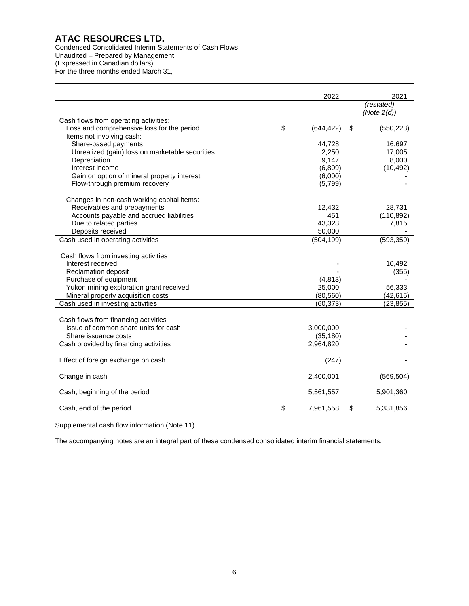Condensed Consolidated Interim Statements of Cash Flows Unaudited – Prepared by Management (Expressed in Canadian dollars) For the three months ended March 31,

|                                                 | 2022             | 2021             |
|-------------------------------------------------|------------------|------------------|
|                                                 |                  | (restated)       |
|                                                 |                  | (Note $2(d)$ )   |
| Cash flows from operating activities:           |                  |                  |
| Loss and comprehensive loss for the period      | \$<br>(644, 422) | \$<br>(550, 223) |
| Items not involving cash:                       |                  |                  |
| Share-based payments                            | 44,728           | 16,697           |
| Unrealized (gain) loss on marketable securities | 2,250            | 17,005           |
| Depreciation                                    | 9,147            | 8,000            |
| Interest income                                 | (6,809)          | (10, 492)        |
| Gain on option of mineral property interest     | (6,000)          |                  |
| Flow-through premium recovery                   | (5,799)          |                  |
| Changes in non-cash working capital items:      |                  |                  |
| Receivables and prepayments                     | 12,432           | 28,731           |
| Accounts payable and accrued liabilities        | 451              | (110, 892)       |
| Due to related parties                          | 43,323           | 7,815            |
| Deposits received                               | 50,000           |                  |
| Cash used in operating activities               | (504, 199)       | (593, 359)       |
| Cash flows from investing activities            |                  |                  |
| Interest received                               |                  | 10,492           |
| <b>Reclamation deposit</b>                      |                  | (355)            |
| Purchase of equipment                           | (4, 813)         |                  |
| Yukon mining exploration grant received         | 25,000           | 56,333           |
| Mineral property acquisition costs              | (80, 560)        | (42, 615)        |
| Cash used in investing activities               | (60, 373)        | (23, 855)        |
|                                                 |                  |                  |
| Cash flows from financing activities            |                  |                  |
| Issue of common share units for cash            | 3,000,000        |                  |
| Share issuance costs                            | (35, 180)        |                  |
| Cash provided by financing activities           | 2,964,820        |                  |
|                                                 |                  |                  |
| Effect of foreign exchange on cash              | (247)            |                  |
| Change in cash                                  | 2,400,001        | (569, 504)       |
|                                                 |                  |                  |
| Cash, beginning of the period                   | 5,561,557        | 5,901,360        |
| Cash, end of the period                         | \$<br>7,961,558  | \$<br>5,331,856  |

Supplemental cash flow information (Note 11)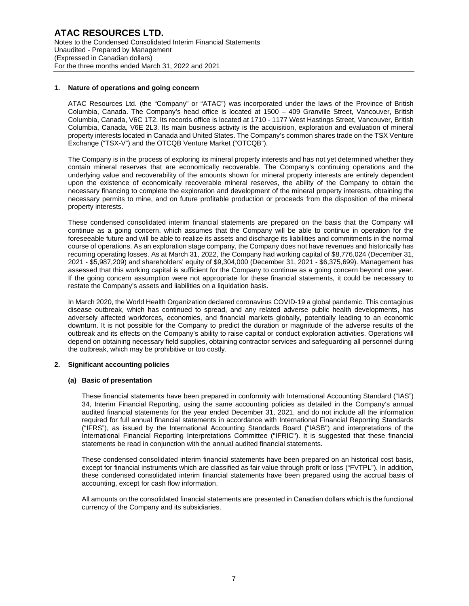## **1. Nature of operations and going concern**

ATAC Resources Ltd. (the "Company" or "ATAC") was incorporated under the laws of the Province of British Columbia, Canada. The Company's head office is located at 1500 – 409 Granville Street, Vancouver, British Columbia, Canada, V6C 1T2. Its records office is located at 1710 - 1177 West Hastings Street, Vancouver, British Columbia, Canada, V6E 2L3. Its main business activity is the acquisition, exploration and evaluation of mineral property interests located in Canada and United States. The Company's common shares trade on the TSX Venture Exchange ("TSX-V") and the OTCQB Venture Market ("OTCQB").

The Company is in the process of exploring its mineral property interests and has not yet determined whether they contain mineral reserves that are economically recoverable. The Company's continuing operations and the underlying value and recoverability of the amounts shown for mineral property interests are entirely dependent upon the existence of economically recoverable mineral reserves, the ability of the Company to obtain the necessary financing to complete the exploration and development of the mineral property interests, obtaining the necessary permits to mine, and on future profitable production or proceeds from the disposition of the mineral property interests.

These condensed consolidated interim financial statements are prepared on the basis that the Company will continue as a going concern, which assumes that the Company will be able to continue in operation for the foreseeable future and will be able to realize its assets and discharge its liabilities and commitments in the normal course of operations. As an exploration stage company, the Company does not have revenues and historically has recurring operating losses. As at March 31, 2022, the Company had working capital of \$8,776,024 (December 31, 2021 - \$5,987,209) and shareholders' equity of \$9,304,000 (December 31, 2021 - \$6,375,699). Management has assessed that this working capital is sufficient for the Company to continue as a going concern beyond one year. If the going concern assumption were not appropriate for these financial statements, it could be necessary to restate the Company's assets and liabilities on a liquidation basis.

In March 2020, the World Health Organization declared coronavirus COVID-19 a global pandemic. This contagious disease outbreak, which has continued to spread, and any related adverse public health developments, has adversely affected workforces, economies, and financial markets globally, potentially leading to an economic downturn. It is not possible for the Company to predict the duration or magnitude of the adverse results of the outbreak and its effects on the Company's ability to raise capital or conduct exploration activities. Operations will depend on obtaining necessary field supplies, obtaining contractor services and safeguarding all personnel during the outbreak, which may be prohibitive or too costly.

## **2. Significant accounting policies**

## **(a) Basic of presentation**

These financial statements have been prepared in conformity with International Accounting Standard ("IAS") 34, Interim Financial Reporting, using the same accounting policies as detailed in the Company's annual audited financial statements for the year ended December 31, 2021, and do not include all the information required for full annual financial statements in accordance with International Financial Reporting Standards ("IFRS"), as issued by the International Accounting Standards Board ("IASB") and interpretations of the International Financial Reporting Interpretations Committee ("IFRIC"). It is suggested that these financial statements be read in conjunction with the annual audited financial statements.

These condensed consolidated interim financial statements have been prepared on an historical cost basis, except for financial instruments which are classified as fair value through profit or loss ("FVTPL"). In addition, these condensed consolidated interim financial statements have been prepared using the accrual basis of accounting, except for cash flow information.

All amounts on the consolidated financial statements are presented in Canadian dollars which is the functional currency of the Company and its subsidiaries.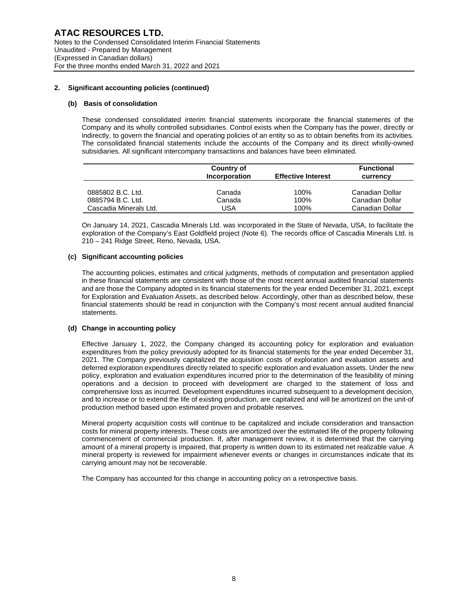# **(b) Basis of consolidation**

These condensed consolidated interim financial statements incorporate the financial statements of the Company and its wholly controlled subsidiaries. Control exists when the Company has the power, directly or indirectly, to govern the financial and operating policies of an entity so as to obtain benefits from its activities. The consolidated financial statements include the accounts of the Company and its direct wholly-owned subsidiaries. All significant intercompany transactions and balances have been eliminated.

|                        | Country of<br>Incorporation | <b>Effective Interest</b> | <b>Functional</b><br>currency |
|------------------------|-----------------------------|---------------------------|-------------------------------|
| 0885802 B.C. Ltd.      | Canada                      | 100%                      | Canadian Dollar               |
| 0885794 B.C. Ltd.      | Canada                      | 100%                      | Canadian Dollar               |
| Cascadia Minerals Ltd. | USA                         | 100%                      | Canadian Dollar               |

On January 14, 2021, Cascadia Minerals Ltd. was incorporated in the State of Nevada, USA, to facilitate the exploration of the Company's East Goldfield project (Note 6). The records office of Cascadia Minerals Ltd. is 210 – 241 Ridge Street, Reno, Nevada, USA.

## **(c) Significant accounting policies**

The accounting policies, estimates and critical judgments, methods of computation and presentation applied in these financial statements are consistent with those of the most recent annual audited financial statements and are those the Company adopted in its financial statements for the year ended December 31, 2021, except for Exploration and Evaluation Assets, as described below. Accordingly, other than as described below, these financial statements should be read in conjunction with the Company's most recent annual audited financial statements.

# **(d) Change in accounting policy**

Effective January 1, 2022, the Company changed its accounting policy for exploration and evaluation expenditures from the policy previously adopted for its financial statements for the year ended December 31, 2021. The Company previously capitalized the acquisition costs of exploration and evaluation assets and deferred exploration expenditures directly related to specific exploration and evaluation assets. Under the new policy, exploration and evaluation expenditures incurred prior to the determination of the feasibility of mining operations and a decision to proceed with development are charged to the statement of loss and comprehensive loss as incurred. Development expenditures incurred subsequent to a development decision, and to increase or to extend the life of existing production, are capitalized and will be amortized on the unit-of production method based upon estimated proven and probable reserves.

Mineral property acquisition costs will continue to be capitalized and include consideration and transaction costs for mineral property interests. These costs are amortized over the estimated life of the property following commencement of commercial production. If, after management review, it is determined that the carrying amount of a mineral property is impaired, that property is written down to its estimated net realizable value. A mineral property is reviewed for impairment whenever events or changes in circumstances indicate that its carrying amount may not be recoverable.

The Company has accounted for this change in accounting policy on a retrospective basis.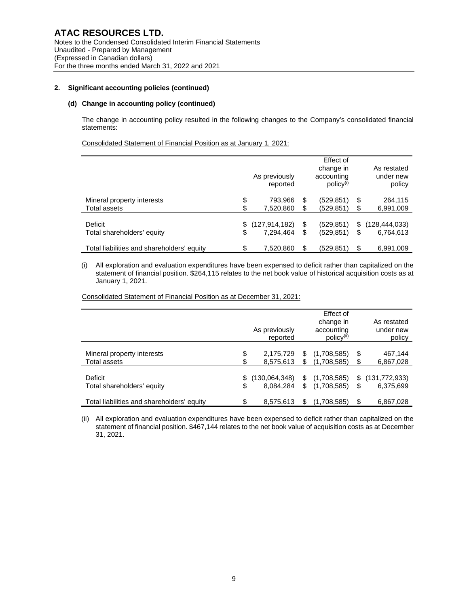# **(d) Change in accounting policy (continued)**

The change in accounting policy resulted in the following changes to the Company's consolidated financial statements:

Consolidated Statement of Financial Position as at January 1, 2021:

|                                            | As previously<br>reported | Effect of<br>change in<br>accounting<br>$policy^{(i)}$ |    | As restated<br>under new<br>policy |
|--------------------------------------------|---------------------------|--------------------------------------------------------|----|------------------------------------|
| Mineral property interests                 | \$<br>793,966             | \$<br>(529, 851)                                       | \$ | 264,115                            |
| Total assets                               | \$<br>7,520,860           | \$<br>(529, 851)                                       | S  | 6,991,009                          |
| Deficit                                    | \$<br>(127, 914, 182)     | \$<br>(529, 851)                                       | \$ | (128, 444, 033)                    |
| Total shareholders' equity                 | \$<br>7.294.464           | \$<br>(529, 851)                                       | \$ | 6,764,613                          |
| Total liabilities and shareholders' equity | \$<br>7.520.860           | \$<br>(529.851)                                        | \$ | 6.991.009                          |

(i) All exploration and evaluation expenditures have been expensed to deficit rather than capitalized on the statement of financial position. \$264,115 relates to the net book value of historical acquisition costs as at January 1, 2021.

Consolidated Statement of Financial Position as at December 31, 2021:

|                                            | As previously<br>reported | Effect of<br>change in<br>accounting<br>$policy^{(ii)}$ |    | As restated<br>under new<br>policy |
|--------------------------------------------|---------------------------|---------------------------------------------------------|----|------------------------------------|
| Mineral property interests                 | \$<br>2,175,729           | \$<br>(1,708,585)                                       | \$ | 467,144                            |
| Total assets                               | \$<br>8,575,613           | \$<br>(1,708,585)                                       | \$ | 6,867,028                          |
| Deficit                                    | \$<br>(130,064,348)       | \$<br>(1,708,585)                                       | \$ | (131, 772, 933)                    |
| Total shareholders' equity                 | \$<br>8.084.284           | \$<br>(1,708,585)                                       | \$ | 6,375,699                          |
| Total liabilities and shareholders' equity | \$<br>8,575,613           | \$<br>(1,708,585)                                       | S  | 6,867,028                          |

(ii) All exploration and evaluation expenditures have been expensed to deficit rather than capitalized on the statement of financial position. \$467,144 relates to the net book value of acquisition costs as at December 31, 2021.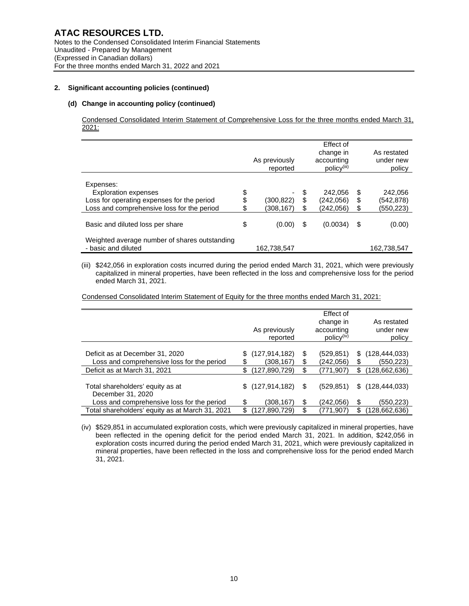# **(d) Change in accounting policy (continued)**

Condensed Consolidated Interim Statement of Comprehensive Loss for the three months ended March 31, 2021:

|                                                                                                                                      |          | As previously<br>reported |                | Effect of<br>change in<br>accounting<br>$policy^{(iii)}$ |                | As restated<br>under new<br>policy |
|--------------------------------------------------------------------------------------------------------------------------------------|----------|---------------------------|----------------|----------------------------------------------------------|----------------|------------------------------------|
| Expenses:<br><b>Exploration expenses</b><br>Loss for operating expenses for the period<br>Loss and comprehensive loss for the period | \$<br>\$ | (300,822)<br>(308,167)    | \$<br>\$<br>\$ | 242.056<br>(242,056)<br>(242,056)                        | \$<br>\$<br>\$ | 242,056<br>(542,878)<br>(550,223)  |
| Basic and diluted loss per share                                                                                                     | \$       | (0.00)                    | \$             | (0.0034)                                                 | \$             | (0.00)                             |
| Weighted average number of shares outstanding<br>- basic and diluted                                                                 |          | 162,738,547               |                |                                                          |                | 162,738,547                        |

(iii) \$242,056 in exploration costs incurred during the period ended March 31, 2021, which were previously capitalized in mineral properties, have been reflected in the loss and comprehensive loss for the period ended March 31, 2021.

Condensed Consolidated Interim Statement of Equity for the three months ended March 31, 2021:

|                                                                                                               | As previously<br>reported                                 |                | Effect of<br>change in<br>accounting<br>$policy^{(iv)}$ |                | As restated<br>under new<br>policy               |
|---------------------------------------------------------------------------------------------------------------|-----------------------------------------------------------|----------------|---------------------------------------------------------|----------------|--------------------------------------------------|
| Deficit as at December 31, 2020<br>Loss and comprehensive loss for the period<br>Deficit as at March 31, 2021 | (127, 914, 182)<br>\$<br>(308,167)<br>(127,890,729)<br>\$ | \$<br>\$<br>\$ | (529, 851)<br>(242,056)<br>(771,907)                    | \$<br>\$<br>\$ | (128, 444, 033)<br>(550, 223)<br>(128, 662, 636) |
| Total shareholders' equity as at<br>December 31, 2020                                                         | \$(127,914,182)                                           | \$             | (529, 851)                                              | \$             | (128, 444, 033)                                  |
| Loss and comprehensive loss for the period<br>Total shareholders' equity as at March 31, 2021                 | (308,167)<br>(127,890,729)                                | \$<br>\$       | (242,056)<br>(771,907)                                  | \$<br>\$       | (550,223)<br>(128,662,636)                       |

(iv) \$529,851 in accumulated exploration costs, which were previously capitalized in mineral properties, have been reflected in the opening deficit for the period ended March 31, 2021. In addition, \$242,056 in exploration costs incurred during the period ended March 31, 2021, which were previously capitalized in mineral properties, have been reflected in the loss and comprehensive loss for the period ended March 31, 2021.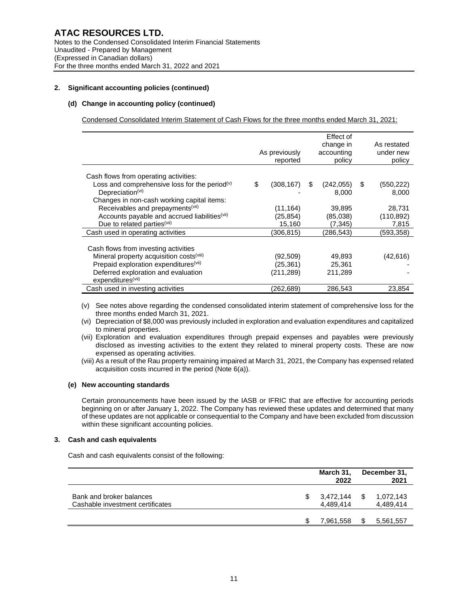# **(d) Change in accounting policy (continued)**

Condensed Consolidated Interim Statement of Cash Flows for the three months ended March 31, 2021:

|                                                                                                                                                                                                                           | As previously<br>reported          |     | Effect of<br>change in<br>accounting<br>policy | As restated<br>under new<br>policy |
|---------------------------------------------------------------------------------------------------------------------------------------------------------------------------------------------------------------------------|------------------------------------|-----|------------------------------------------------|------------------------------------|
| Cash flows from operating activities:<br>Loss and comprehensive loss for the period <sup>(v)</sup><br>Depreciation $(vi)$<br>Changes in non-cash working capital items:                                                   | \$<br>(308, 167)                   | \$. | (242, 055)<br>8,000                            | \$<br>(550, 222)<br>8,000          |
| Receivables and prepayments <sup>(vii)</sup><br>Accounts payable and accrued liabilities <sup>(vii)</sup><br>Due to related parties <sup>(vii)</sup>                                                                      | (11,164)<br>(25,854)<br>15,160     |     | 39,895<br>(85,038)<br>(7, 345)                 | 28,731<br>(110, 892)<br>7,815      |
| Cash used in operating activities                                                                                                                                                                                         | (306,815)                          |     | (286,543)                                      | (593,358)                          |
| Cash flows from investing activities<br>Mineral property acquisition costs <sup>(viii)</sup><br>Prepaid exploration expenditures <sup>(vii)</sup><br>Deferred exploration and evaluation<br>expenditures <sup>(vii)</sup> | (92,509)<br>(25,361)<br>(211, 289) |     | 49,893<br>25,361<br>211,289                    | (42,616)                           |
| Cash used in investing activities                                                                                                                                                                                         | (262,689)                          |     | 286.543                                        | 23.854                             |

(v) See notes above regarding the condensed consolidated interim statement of comprehensive loss for the three months ended March 31, 2021.

- (vi) Depreciation of \$8,000 was previously included in exploration and evaluation expenditures and capitalized to mineral properties.
- (vii) Exploration and evaluation expenditures through prepaid expenses and payables were previously disclosed as investing activities to the extent they related to mineral property costs. These are now expensed as operating activities.
- (viii) As a result of the Rau property remaining impaired at March 31, 2021, the Company has expensed related acquisition costs incurred in the period (Note 6(a)).

## **(e) New accounting standards**

Certain pronouncements have been issued by the IASB or IFRIC that are effective for accounting periods beginning on or after January 1, 2022. The Company has reviewed these updates and determined that many of these updates are not applicable or consequential to the Company and have been excluded from discussion within these significant accounting policies.

## **3. Cash and cash equivalents**

Cash and cash equivalents consist of the following:

|                                                              | March 31,<br>2022      | December 31,<br>2021         |
|--------------------------------------------------------------|------------------------|------------------------------|
| Bank and broker balances<br>Cashable investment certificates | 3,472,144<br>4.489.414 | \$<br>1,072,143<br>4,489,414 |
|                                                              | 7,961,558              | \$<br>5,561,557              |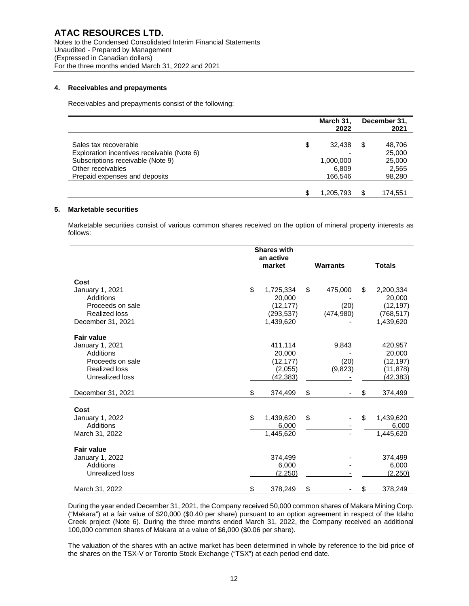## **4. Receivables and prepayments**

Receivables and prepayments consist of the following:

|                                            | March 31,<br>2022 |    | December 31,<br>2021 |
|--------------------------------------------|-------------------|----|----------------------|
| Sales tax recoverable                      | \$<br>32.438      | S  | 48,706               |
| Exploration incentives receivable (Note 6) |                   |    | 25,000               |
| Subscriptions receivable (Note 9)          | 1,000,000         |    | 25,000               |
| Other receivables                          | 6,809             |    | 2,565                |
| Prepaid expenses and deposits              | 166,546           |    | 98,280               |
|                                            |                   |    |                      |
|                                            | 1,205,793         | \$ | 174.551              |

## **5. Marketable securities**

Marketable securities consist of various common shares received on the option of mineral property interests as follows:

|                      | <b>Shares with</b><br>an active |                 |                 |
|----------------------|---------------------------------|-----------------|-----------------|
|                      | market                          | <b>Warrants</b> | <b>Totals</b>   |
| Cost                 |                                 |                 |                 |
| January 1, 2021      | \$<br>1,725,334                 | \$<br>475,000   | \$<br>2,200,334 |
| Additions            | 20.000                          |                 | 20.000          |
| Proceeds on sale     | (12, 177)                       | (20)            | (12, 197)       |
| <b>Realized loss</b> | (293, 537)                      | (474, 980)      | (768, 517)      |
| December 31, 2021    | 1,439,620                       |                 | 1,439,620       |
| <b>Fair value</b>    |                                 |                 |                 |
| January 1, 2021      | 411,114                         | 9,843           | 420,957         |
| <b>Additions</b>     | 20,000                          |                 | 20,000          |
| Proceeds on sale     | (12, 177)                       | (20)            | (12, 197)       |
| <b>Realized loss</b> | (2,055)                         | (9,823)         | (11, 878)       |
| Unrealized loss      | (42, 383)                       |                 | (42, 383)       |
| December 31, 2021    | \$<br>374,499                   | \$              | \$<br>374,499   |
| Cost                 |                                 |                 |                 |
| January 1, 2022      | \$<br>1,439,620                 | \$              | \$<br>1,439,620 |
| Additions            | 6,000                           |                 | 6,000           |
| March 31, 2022       | 1,445,620                       |                 | 1,445,620       |
| <b>Fair value</b>    |                                 |                 |                 |
| January 1, 2022      | 374,499                         |                 | 374,499         |
| Additions            | 6,000                           |                 | 6,000           |
| Unrealized loss      | (2,250)                         |                 | (2,250)         |
| March 31, 2022       | \$<br>378,249                   | \$              | \$<br>378,249   |

During the year ended December 31, 2021, the Company received 50,000 common shares of Makara Mining Corp. ("Makara") at a fair value of \$20,000 (\$0.40 per share) pursuant to an option agreement in respect of the Idaho Creek project (Note 6). During the three months ended March 31, 2022, the Company received an additional 100,000 common shares of Makara at a value of \$6,000 (\$0.06 per share).

The valuation of the shares with an active market has been determined in whole by reference to the bid price of the shares on the TSX-V or Toronto Stock Exchange ("TSX") at each period end date.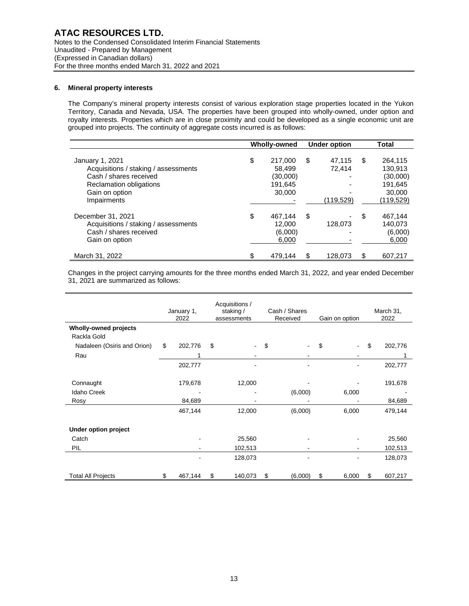## **6. Mineral property interests**

The Company's mineral property interests consist of various exploration stage properties located in the Yukon Territory, Canada and Nevada, USA. The properties have been grouped into wholly-owned, under option and royalty interests. Properties which are in close proximity and could be developed as a single economic unit are grouped into projects. The continuity of aggregate costs incurred is as follows:

|                                                                                                                                               | Wholly-owned                                             | <b>Under option</b> |                               | <b>Total</b>                                                                  |
|-----------------------------------------------------------------------------------------------------------------------------------------------|----------------------------------------------------------|---------------------|-------------------------------|-------------------------------------------------------------------------------|
| January 1, 2021<br>Acquisitions / staking / assessments<br>Cash / shares received<br>Reclamation obligations<br>Gain on option<br>Impairments | \$<br>217,000<br>58.499<br>(30,000)<br>191.645<br>30,000 | \$                  | 47.115<br>72.414<br>(119,529) | \$<br>264,115<br>130.913<br>(30,000)<br>191.645<br>30,000<br><u>(119,529)</u> |
| December 31, 2021<br>Acquisitions / staking / assessments<br>Cash / shares received<br>Gain on option                                         | \$<br>467.144<br>12,000<br>(6,000)<br>6,000              | \$                  | 128,073                       | \$<br>467,144<br>140.073<br>(6,000)<br>6,000                                  |
| March 31, 2022                                                                                                                                | 479.144                                                  | \$                  | 128.073                       | \$<br>607.217                                                                 |

Changes in the project carrying amounts for the three months ended March 31, 2022, and year ended December 31, 2021 are summarized as follows:

|                              | January 1,<br>2022 |         | Acquisitions /<br>staking /<br>assessments |         |    | Cash / Shares<br>Received |    | Gain on option | March 31,<br>2022 |
|------------------------------|--------------------|---------|--------------------------------------------|---------|----|---------------------------|----|----------------|-------------------|
| <b>Wholly-owned projects</b> |                    |         |                                            |         |    |                           |    |                |                   |
| Rackla Gold                  |                    |         |                                            |         |    |                           |    |                |                   |
| Nadaleen (Osiris and Orion)  | \$                 | 202,776 | \$                                         |         | \$ |                           | \$ |                | \$<br>202,776     |
| Rau                          |                    |         |                                            |         |    |                           |    |                |                   |
|                              |                    | 202,777 |                                            |         |    |                           |    |                | 202,777           |
| Connaught                    |                    | 179,678 |                                            | 12,000  |    |                           |    |                | 191,678           |
| <b>Idaho Creek</b>           |                    |         |                                            |         |    | (6,000)                   |    | 6,000          |                   |
| Rosy                         |                    | 84,689  |                                            |         |    |                           |    |                | 84,689            |
|                              |                    | 467,144 |                                            | 12,000  |    | (6,000)                   |    | 6,000          | 479,144           |
| Under option project         |                    |         |                                            |         |    |                           |    |                |                   |
| Catch                        |                    |         |                                            | 25,560  |    |                           |    |                | 25,560            |
| PIL                          |                    |         |                                            | 102,513 |    |                           |    |                | 102,513           |
|                              |                    |         |                                            | 128,073 |    |                           |    |                | 128,073           |
| <b>Total All Projects</b>    |                    | 467,144 | S                                          | 140,073 | S  | (6,000)                   | S  | 6,000          | 607,217           |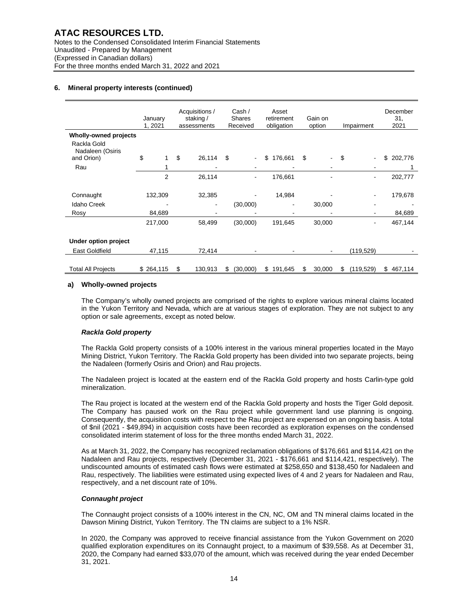|                                               | January<br>1, 2021 | Acquisitions /<br>Cash /<br>Asset<br>staking /<br><b>Shares</b><br>retirement<br>obligation<br>Received<br>assessments |                          |     | Gain on<br>option<br>Impairment |    |                |    | December<br>31.<br>2021 |    |                |               |
|-----------------------------------------------|--------------------|------------------------------------------------------------------------------------------------------------------------|--------------------------|-----|---------------------------------|----|----------------|----|-------------------------|----|----------------|---------------|
| <b>Wholly-owned projects</b>                  |                    |                                                                                                                        |                          |     |                                 |    |                |    |                         |    |                |               |
| Rackla Gold<br>Nadaleen (Osiris<br>and Orion) | \$                 | \$                                                                                                                     | 26,114                   | \$  | $\blacksquare$                  | \$ | 176,661        | \$ |                         | \$ |                | \$<br>202,776 |
|                                               |                    |                                                                                                                        |                          |     |                                 |    |                |    |                         |    |                |               |
| Rau                                           |                    |                                                                                                                        |                          |     |                                 |    |                |    |                         |    |                |               |
|                                               | $\overline{2}$     |                                                                                                                        | 26,114                   |     | $\blacksquare$                  |    | 176,661        |    |                         |    |                | 202,777       |
|                                               |                    |                                                                                                                        |                          |     |                                 |    |                |    |                         |    |                |               |
| Connaught                                     | 132,309            |                                                                                                                        | 32,385                   |     |                                 |    | 14,984         |    |                         |    |                | 179,678       |
| <b>Idaho Creek</b>                            |                    |                                                                                                                        | $\overline{\phantom{a}}$ |     | (30,000)                        |    | $\blacksquare$ |    | 30,000                  |    |                |               |
| Rosy                                          | 84,689             |                                                                                                                        |                          |     |                                 |    |                |    |                         |    |                | 84,689        |
|                                               | 217,000            |                                                                                                                        | 58,499                   |     | (30,000)                        |    | 191,645        |    | 30,000                  |    | $\blacksquare$ | 467,144       |
| Under option project                          |                    |                                                                                                                        |                          |     |                                 |    |                |    |                         |    |                |               |
|                                               |                    |                                                                                                                        |                          |     |                                 |    |                |    |                         |    |                |               |
| <b>East Goldfield</b>                         | 47,115             |                                                                                                                        | 72,414                   |     |                                 |    |                |    |                         |    | (119, 529)     |               |
| <b>Total All Projects</b>                     | \$264,115          | \$                                                                                                                     | 130,913                  | \$. | (30,000)                        |    | \$191.645      | \$ | 30,000                  | S  | (119, 529)     | \$467,114     |

## **a) Wholly-owned projects**

The Company's wholly owned projects are comprised of the rights to explore various mineral claims located in the Yukon Territory and Nevada, which are at various stages of exploration. They are not subject to any option or sale agreements, except as noted below.

## *Rackla Gold property*

The Rackla Gold property consists of a 100% interest in the various mineral properties located in the Mayo Mining District, Yukon Territory. The Rackla Gold property has been divided into two separate projects, being the Nadaleen (formerly Osiris and Orion) and Rau projects.

The Nadaleen project is located at the eastern end of the Rackla Gold property and hosts Carlin-type gold mineralization.

The Rau project is located at the western end of the Rackla Gold property and hosts the Tiger Gold deposit. The Company has paused work on the Rau project while government land use planning is ongoing. Consequently, the acquisition costs with respect to the Rau project are expensed on an ongoing basis. A total of \$nil (2021 - \$49,894) in acquisition costs have been recorded as exploration expenses on the condensed consolidated interim statement of loss for the three months ended March 31, 2022.

As at March 31, 2022, the Company has recognized reclamation obligations of \$176,661 and \$114,421 on the Nadaleen and Rau projects, respectively (December 31, 2021 - \$176,661 and \$114,421, respectively). The undiscounted amounts of estimated cash flows were estimated at \$258,650 and \$138,450 for Nadaleen and Rau, respectively. The liabilities were estimated using expected lives of 4 and 2 years for Nadaleen and Rau, respectively, and a net discount rate of 10%.

## *Connaught project*

The Connaught project consists of a 100% interest in the CN, NC, OM and TN mineral claims located in the Dawson Mining District, Yukon Territory. The TN claims are subject to a 1% NSR.

In 2020, the Company was approved to receive financial assistance from the Yukon Government on 2020 qualified exploration expenditures on its Connaught project, to a maximum of \$39,558. As at December 31, 2020, the Company had earned \$33,070 of the amount, which was received during the year ended December 31, 2021.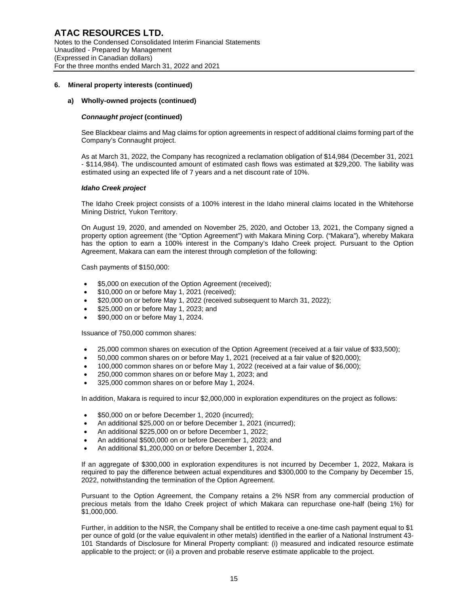#### **a) Wholly-owned projects (continued)**

#### *Connaught project* **(continued)**

See Blackbear claims and Mag claims for option agreements in respect of additional claims forming part of the Company's Connaught project.

As at March 31, 2022, the Company has recognized a reclamation obligation of \$14,984 (December 31, 2021 - \$114,984). The undiscounted amount of estimated cash flows was estimated at \$29,200. The liability was estimated using an expected life of 7 years and a net discount rate of 10%.

#### *Idaho Creek project*

The Idaho Creek project consists of a 100% interest in the Idaho mineral claims located in the Whitehorse Mining District, Yukon Territory.

On August 19, 2020, and amended on November 25, 2020, and October 13, 2021, the Company signed a property option agreement (the "Option Agreement") with Makara Mining Corp. ("Makara"), whereby Makara has the option to earn a 100% interest in the Company's Idaho Creek project. Pursuant to the Option Agreement, Makara can earn the interest through completion of the following:

Cash payments of \$150,000:

- \$5,000 on execution of the Option Agreement (received);
- \$10,000 on or before May 1, 2021 (received);
- \$20,000 on or before May 1, 2022 (received subsequent to March 31, 2022);
- \$25,000 on or before May 1, 2023; and
- \$90,000 on or before May 1, 2024.

Issuance of 750,000 common shares:

- 25,000 common shares on execution of the Option Agreement (received at a fair value of \$33,500);
- 50,000 common shares on or before May 1, 2021 (received at a fair value of \$20,000);
- 100,000 common shares on or before May 1, 2022 (received at a fair value of \$6,000);
- 250,000 common shares on or before May 1, 2023; and
- 325,000 common shares on or before May 1, 2024.

In addition, Makara is required to incur \$2,000,000 in exploration expenditures on the project as follows:

- \$50,000 on or before December 1, 2020 (incurred);
- An additional \$25,000 on or before December 1, 2021 (incurred);
- An additional \$225,000 on or before December 1, 2022;
- An additional \$500,000 on or before December 1, 2023; and
- An additional \$1,200,000 on or before December 1, 2024.

If an aggregate of \$300,000 in exploration expenditures is not incurred by December 1, 2022, Makara is required to pay the difference between actual expenditures and \$300,000 to the Company by December 15, 2022, notwithstanding the termination of the Option Agreement.

Pursuant to the Option Agreement, the Company retains a 2% NSR from any commercial production of precious metals from the Idaho Creek project of which Makara can repurchase one-half (being 1%) for \$1,000,000.

Further, in addition to the NSR, the Company shall be entitled to receive a one-time cash payment equal to \$1 per ounce of gold (or the value equivalent in other metals) identified in the earlier of a National Instrument 43- 101 Standards of Disclosure for Mineral Property compliant: (i) measured and indicated resource estimate applicable to the project; or (ii) a proven and probable reserve estimate applicable to the project.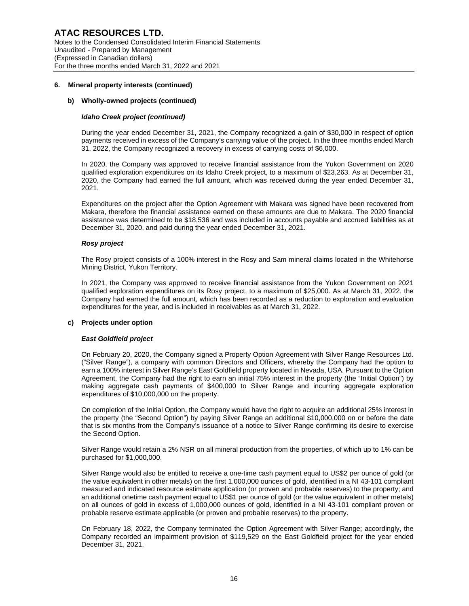#### **b) Wholly-owned projects (continued)**

#### *Idaho Creek project (continued)*

During the year ended December 31, 2021, the Company recognized a gain of \$30,000 in respect of option payments received in excess of the Company's carrying value of the project. In the three months ended March 31, 2022, the Company recognized a recovery in excess of carrying costs of \$6,000.

In 2020, the Company was approved to receive financial assistance from the Yukon Government on 2020 qualified exploration expenditures on its Idaho Creek project, to a maximum of \$23,263. As at December 31, 2020, the Company had earned the full amount, which was received during the year ended December 31, 2021.

Expenditures on the project after the Option Agreement with Makara was signed have been recovered from Makara, therefore the financial assistance earned on these amounts are due to Makara. The 2020 financial assistance was determined to be \$18,536 and was included in accounts payable and accrued liabilities as at December 31, 2020, and paid during the year ended December 31, 2021.

#### *Rosy project*

The Rosy project consists of a 100% interest in the Rosy and Sam mineral claims located in the Whitehorse Mining District, Yukon Territory.

In 2021, the Company was approved to receive financial assistance from the Yukon Government on 2021 qualified exploration expenditures on its Rosy project, to a maximum of \$25,000. As at March 31, 2022, the Company had earned the full amount, which has been recorded as a reduction to exploration and evaluation expenditures for the year, and is included in receivables as at March 31, 2022.

#### **c) Projects under option**

#### *East Goldfield project*

On February 20, 2020, the Company signed a Property Option Agreement with Silver Range Resources Ltd. ("Silver Range"), a company with common Directors and Officers, whereby the Company had the option to earn a 100% interest in Silver Range's East Goldfield property located in Nevada, USA. Pursuant to the Option Agreement, the Company had the right to earn an initial 75% interest in the property (the "Initial Option") by making aggregate cash payments of \$400,000 to Silver Range and incurring aggregate exploration expenditures of \$10,000,000 on the property.

On completion of the Initial Option, the Company would have the right to acquire an additional 25% interest in the property (the "Second Option") by paying Silver Range an additional \$10,000,000 on or before the date that is six months from the Company's issuance of a notice to Silver Range confirming its desire to exercise the Second Option.

Silver Range would retain a 2% NSR on all mineral production from the properties, of which up to 1% can be purchased for \$1,000,000.

Silver Range would also be entitled to receive a one-time cash payment equal to US\$2 per ounce of gold (or the value equivalent in other metals) on the first 1,000,000 ounces of gold, identified in a NI 43-101 compliant measured and indicated resource estimate application (or proven and probable reserves) to the property; and an additional onetime cash payment equal to US\$1 per ounce of gold (or the value equivalent in other metals) on all ounces of gold in excess of 1,000,000 ounces of gold, identified in a NI 43-101 compliant proven or probable reserve estimate applicable (or proven and probable reserves) to the property.

On February 18, 2022, the Company terminated the Option Agreement with Silver Range; accordingly, the Company recorded an impairment provision of \$119,529 on the East Goldfield project for the year ended December 31, 2021.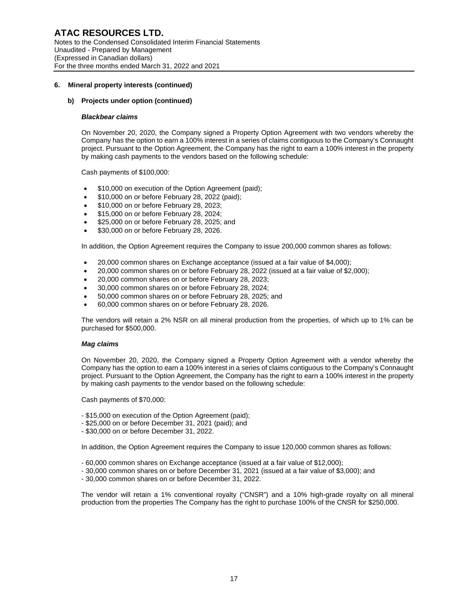#### **b) Projects under option (continued)**

#### *Blackbear claims*

On November 20, 2020, the Company signed a Property Option Agreement with two vendors whereby the Company has the option to earn a 100% interest in a series of claims contiguous to the Company's Connaught project. Pursuant to the Option Agreement, the Company has the right to earn a 100% interest in the property by making cash payments to the vendors based on the following schedule:

Cash payments of \$100,000:

- \$10,000 on execution of the Option Agreement (paid);
- \$10,000 on or before February 28, 2022 (paid);
- \$10,000 on or before February 28, 2023;
- \$15,000 on or before February 28, 2024;
- \$25,000 on or before February 28, 2025; and
- \$30,000 on or before February 28, 2026.

In addition, the Option Agreement requires the Company to issue 200,000 common shares as follows:

- 20,000 common shares on Exchange acceptance (issued at a fair value of \$4,000);
- 20,000 common shares on or before February 28, 2022 (issued at a fair value of \$2,000);
- 20,000 common shares on or before February 28, 2023;
- 30,000 common shares on or before February 28, 2024;
- 50,000 common shares on or before February 28, 2025; and
- 60,000 common shares on or before February 28, 2026.

The vendors will retain a 2% NSR on all mineral production from the properties, of which up to 1% can be purchased for \$500,000.

#### *Mag claims*

On November 20, 2020, the Company signed a Property Option Agreement with a vendor whereby the Company has the option to earn a 100% interest in a series of claims contiguous to the Company's Connaught project. Pursuant to the Option Agreement, the Company has the right to earn a 100% interest in the property by making cash payments to the vendor based on the following schedule:

Cash payments of \$70,000:

- \$15,000 on execution of the Option Agreement (paid);
- \$25,000 on or before December 31, 2021 (paid); and
- \$30,000 on or before December 31, 2022.

In addition, the Option Agreement requires the Company to issue 120,000 common shares as follows:

- 60,000 common shares on Exchange acceptance (issued at a fair value of \$12,000);
- 30,000 common shares on or before December 31, 2021 (issued at a fair value of \$3,000); and
- 30,000 common shares on or before December 31, 2022.

The vendor will retain a 1% conventional royalty ("CNSR") and a 10% high-grade royalty on all mineral production from the properties The Company has the right to purchase 100% of the CNSR for \$250,000.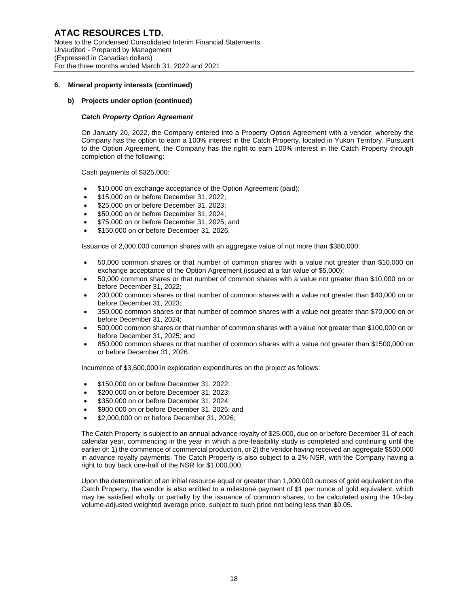#### **b) Projects under option (continued)**

## *Catch Property Option Agreement*

On January 20, 2022, the Company entered into a Property Option Agreement with a vendor, whereby the Company has the option to earn a 100% interest in the Catch Property, located in Yukon Territory. Pursuant to the Option Agreement, the Company has the right to earn 100% interest in the Catch Property through completion of the following:

Cash payments of \$325,000:

- \$10,000 on exchange acceptance of the Option Agreement (paid);
- \$15,000 on or before December 31, 2022;
- \$25,000 on or before December 31, 2023;
- \$50,000 on or before December 31, 2024;
- \$75,000 on or before December 31, 2025; and
- \$150,000 on or before December 31, 2026.

Issuance of 2,000,000 common shares with an aggregate value of not more than \$380,000:

- 50,000 common shares or that number of common shares with a value not greater than \$10,000 on exchange acceptance of the Option Agreement (issued at a fair value of \$5,000);
- 50,000 common shares or that number of common shares with a value not greater than \$10,000 on or before December 31, 2022;
- 200,000 common shares or that number of common shares with a value not greater than \$40,000 on or before December 31, 2023;
- 350,000 common shares or that number of common shares with a value not greater than \$70,000 on or before December 31, 2024;
- 500,000 common shares or that number of common shares with a value not greater than \$100,000 on or before December 31, 2025; and
- 850,000 common shares or that number of common shares with a value not greater than \$1500,000 on or before December 31, 2026.

Incurrence of \$3,600,000 in exploration expenditures on the project as follows:

- \$150,000 on or before December 31, 2022;
- \$200,000 on or before December 31, 2023;
- \$350,000 on or before December 31, 2024;
- \$900,000 on or before December 31, 2025; and
- \$2,000,000 on or before December 31, 2026;

The Catch Property is subject to an annual advance royalty of \$25,000, due on or before December 31 of each calendar year, commencing in the year in which a pre-feasibility study is completed and continuing until the earlier of: 1) the commence of commercial production, or 2) the vendor having received an aggregate \$500,000 in advance royalty payments. The Catch Property is also subject to a 2% NSR, with the Company having a right to buy back one-half of the NSR for \$1,000,000.

Upon the determination of an initial resource equal or greater than 1,000,000 ounces of gold equivalent on the Catch Property, the vendor is also entitled to a milestone payment of \$1 per ounce of gold equivalent, which may be satisfied wholly or partially by the issuance of common shares, to be calculated using the 10-day volume-adjusted weighted average price, subject to such price not being less than \$0.05.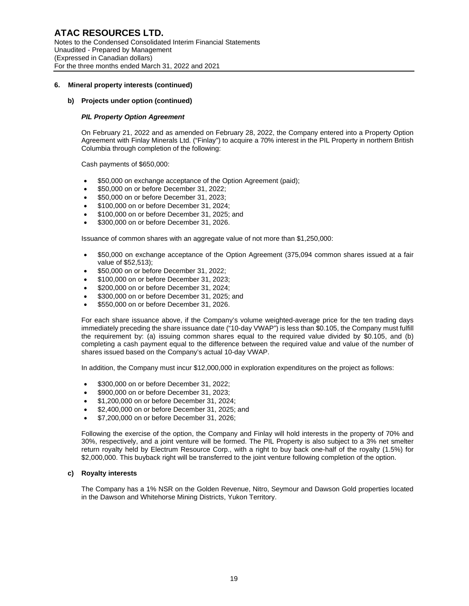#### **b) Projects under option (continued)**

#### *PIL Property Option Agreement*

On February 21, 2022 and as amended on February 28, 2022, the Company entered into a Property Option Agreement with Finlay Minerals Ltd. ("Finlay") to acquire a 70% interest in the PIL Property in northern British Columbia through completion of the following:

Cash payments of \$650,000:

- \$50,000 on exchange acceptance of the Option Agreement (paid);
- \$50,000 on or before December 31, 2022;
- \$50,000 on or before December 31, 2023;
- \$100,000 on or before December 31, 2024;
- \$100,000 on or before December 31, 2025; and
- \$300,000 on or before December 31, 2026.

Issuance of common shares with an aggregate value of not more than \$1,250,000:

- \$50,000 on exchange acceptance of the Option Agreement (375,094 common shares issued at a fair value of \$52,513);
- \$50,000 on or before December 31, 2022;
- \$100,000 on or before December 31, 2023:
- \$200,000 on or before December 31, 2024;
- \$300,000 on or before December 31, 2025; and
- \$550,000 on or before December 31, 2026.

For each share issuance above, if the Company's volume weighted-average price for the ten trading days immediately preceding the share issuance date ("10-day VWAP") is less than \$0.105, the Company must fulfill the requirement by: (a) issuing common shares equal to the required value divided by \$0.105, and (b) completing a cash payment equal to the difference between the required value and value of the number of shares issued based on the Company's actual 10-day VWAP.

In addition, the Company must incur \$12,000,000 in exploration expenditures on the project as follows:

- \$300,000 on or before December 31, 2022;
- \$900,000 on or before December 31, 2023;
- \$1,200,000 on or before December 31, 2024;
- \$2,400,000 on or before December 31, 2025; and
- \$7,200,000 on or before December 31, 2026;

Following the exercise of the option, the Company and Finlay will hold interests in the property of 70% and 30%, respectively, and a joint venture will be formed. The PIL Property is also subject to a 3% net smelter return royalty held by Electrum Resource Corp., with a right to buy back one-half of the royalty (1.5%) for \$2,000,000. This buyback right will be transferred to the joint venture following completion of the option.

#### **c) Royalty interests**

The Company has a 1% NSR on the Golden Revenue, Nitro, Seymour and Dawson Gold properties located in the Dawson and Whitehorse Mining Districts, Yukon Territory.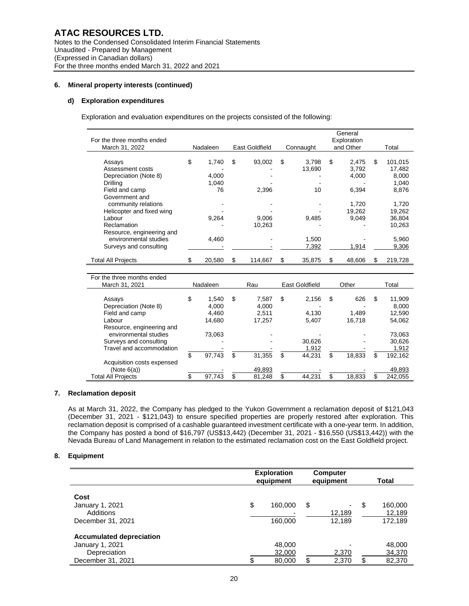#### **d) Exploration expenditures**

Exploration and evaluation expenditures on the projects consisted of the following:

|                            |              |                |                |                          | General     |               |
|----------------------------|--------------|----------------|----------------|--------------------------|-------------|---------------|
| For the three months ended |              |                |                |                          | Exploration |               |
| March 31, 2022             | Nadaleen     | East Goldfield | Connaught      |                          | and Other   | Total         |
|                            |              |                |                |                          |             |               |
| Assays                     | \$<br>1,740  | \$<br>93,002   | \$<br>3,798    | \$                       | 2,475       | \$<br>101,015 |
| Assessment costs           |              |                | 13,690         |                          | 3,792       | 17,482        |
| Depreciation (Note 8)      | 4,000        |                |                |                          | 4,000       | 8,000         |
| Drilling                   | 1,040        |                |                |                          |             | 1,040         |
| Field and camp             | 76           | 2,396          | 10             |                          | 6,394       | 8,876         |
| Government and             |              |                |                |                          |             |               |
| community relations        |              |                |                |                          | 1,720       | 1,720         |
| Helicopter and fixed wing  |              |                |                |                          | 19,262      | 19,262        |
| Labour                     | 9,264        | 9,006          | 9,485          |                          | 9,049       | 36,804        |
| Reclamation                |              | 10,263         |                |                          |             | 10,263        |
| Resource, engineering and  |              |                |                |                          |             |               |
| environmental studies      | 4,460        |                | 1,500          |                          |             | 5,960         |
| Surveys and consulting     |              |                | 7,392          |                          | 1,914       | 9,306         |
|                            |              |                |                |                          |             |               |
| <b>Total All Projects</b>  | \$<br>20,580 | \$<br>114,667  | \$<br>35,875   | \$                       | 48,606      | \$<br>219,728 |
|                            |              |                |                |                          |             |               |
| For the three months ended |              |                |                |                          |             |               |
| March 31, 2021             | Nadaleen     | Rau            | East Goldfield |                          | Other       | Total         |
|                            |              |                |                |                          |             |               |
| Assays                     | \$<br>1.540  | \$<br>7,587    | \$<br>2,156    | \$                       | 626         | \$<br>11,909  |
| Depreciation (Note 8)      | 4.000        | 4.000          |                |                          |             | 8.000         |
| Field and camp             | 4.460        | 2.511          | 4.130          |                          | 1,489       | 12.590        |
| Labour                     | 14,680       | 17,257         | 5,407          |                          | 16,718      | 54,062        |
| Resource, engineering and  |              |                |                |                          |             |               |
| environmental studies      | 73,063       |                |                |                          |             | 73,063        |
| Surveys and consulting     |              |                | 30,626         |                          |             | 30,626        |
| Travel and accommodation   |              |                | 1,912          |                          |             | 1,912         |
|                            | \$           | \$             | \$             | \$                       |             | \$            |
|                            | 97,743       | 31,355         | 44,231         |                          | 18,833      | 192,162       |
| Acquisition costs expensed |              |                |                |                          |             |               |
| (Note 6(a))                | \$           | \$<br>49,893   | \$             | $\overline{\mathcal{S}}$ |             | \$<br>49,893  |
| <b>Total All Projects</b>  | 97,743       | 81,248         | 44,231         |                          | 18,833      | 242,055       |

#### **7. Reclamation deposit**

As at March 31, 2022, the Company has pledged to the Yukon Government a reclamation deposit of \$121,043 (December 31, 2021 - \$121,043) to ensure specified properties are properly restored after exploration. This reclamation deposit is comprised of a cashable guaranteed investment certificate with a one-year term. In addition, the Company has posted a bond of \$16,797 (US\$13,442) (December 31, 2021 - \$16,550 (US\$13,442)) with the Nevada Bureau of Land Management in relation to the estimated reclamation cost on the East Goldfield project.

#### **8. Equipment**

|                                                                                         | <b>Exploration</b><br>equipment | <b>Computer</b><br>equipment | Total                              |
|-----------------------------------------------------------------------------------------|---------------------------------|------------------------------|------------------------------------|
| Cost<br>January 1, 2021<br>Additions<br>December 31, 2021                               | \$<br>160,000<br>160,000        | \$<br>٠<br>12,189<br>12.189  | \$<br>160,000<br>12,189<br>172,189 |
| <b>Accumulated depreciation</b><br>January 1, 2021<br>Depreciation<br>December 31, 2021 | 48,000<br>32,000<br>80,000      | \$<br>2,370<br>2,370         | \$<br>48,000<br>34,370<br>82,370   |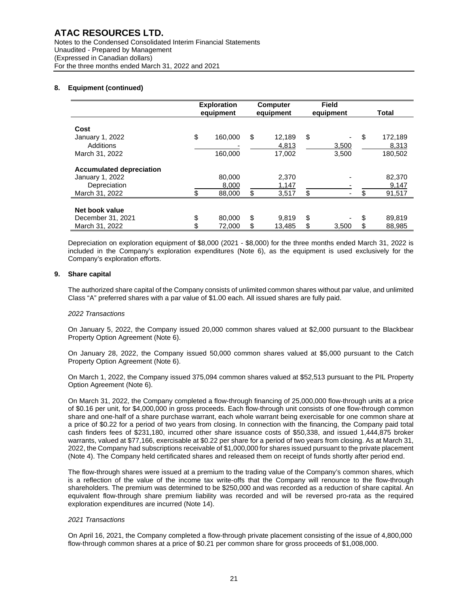# **8. Equipment (continued)**

|                                 | <b>Exploration</b><br>equipment |    | <b>Computer</b> | <b>Field</b> | Total         |
|---------------------------------|---------------------------------|----|-----------------|--------------|---------------|
|                                 |                                 |    | equipment       | equipment    |               |
| Cost                            |                                 |    |                 |              |               |
| January 1, 2022                 | \$<br>160.000                   | \$ | 12.189          | \$           | \$<br>172,189 |
| Additions                       |                                 |    | 4,813           | 3,500        | 8,313         |
| March 31, 2022                  | 160,000                         |    | 17,002          | 3,500        | 180,502       |
| <b>Accumulated depreciation</b> |                                 |    |                 |              |               |
| January 1, 2022                 | 80,000                          |    | 2,370           |              | 82,370        |
| Depreciation                    | 8,000                           |    | 1,147           |              | 9,147         |
| March 31, 2022                  | 88,000                          | \$ | 3,517           | \$           | 91,517        |
|                                 |                                 |    |                 |              |               |
| Net book value                  |                                 |    |                 |              |               |
| December 31, 2021               | \$<br>80,000                    | \$ | 9.819           | \$           | \$<br>89,819  |
| March 31, 2022                  | \$<br>72,000                    | \$ | 13,485          | \$<br>3,500  | \$<br>88,985  |

Depreciation on exploration equipment of \$8,000 (2021 - \$8,000) for the three months ended March 31, 2022 is included in the Company's exploration expenditures (Note 6), as the equipment is used exclusively for the Company's exploration efforts.

#### **9. Share capital**

The authorized share capital of the Company consists of unlimited common shares without par value, and unlimited Class "A" preferred shares with a par value of \$1.00 each. All issued shares are fully paid.

#### *2022 Transactions*

On January 5, 2022, the Company issued 20,000 common shares valued at \$2,000 pursuant to the Blackbear Property Option Agreement (Note 6).

On January 28, 2022, the Company issued 50,000 common shares valued at \$5,000 pursuant to the Catch Property Option Agreement (Note 6).

On March 1, 2022, the Company issued 375,094 common shares valued at \$52,513 pursuant to the PIL Property Option Agreement (Note 6).

On March 31, 2022, the Company completed a flow-through financing of 25,000,000 flow-through units at a price of \$0.16 per unit, for \$4,000,000 in gross proceeds. Each flow-through unit consists of one flow-through common share and one-half of a share purchase warrant, each whole warrant being exercisable for one common share at a price of \$0.22 for a period of two years from closing. In connection with the financing, the Company paid total cash finders fees of \$231,180, incurred other share issuance costs of \$50,338, and issued 1,444,875 broker warrants, valued at \$77,166, exercisable at \$0.22 per share for a period of two years from closing. As at March 31, 2022, the Company had subscriptions receivable of \$1,000,000 for shares issued pursuant to the private placement (Note 4). The Company held certificated shares and released them on receipt of funds shortly after period end.

The flow-through shares were issued at a premium to the trading value of the Company's common shares, which is a reflection of the value of the income tax write-offs that the Company will renounce to the flow-through shareholders. The premium was determined to be \$250,000 and was recorded as a reduction of share capital. An equivalent flow-through share premium liability was recorded and will be reversed pro-rata as the required exploration expenditures are incurred (Note 14).

## *2021 Transactions*

On April 16, 2021, the Company completed a flow-through private placement consisting of the issue of 4,800,000 flow-through common shares at a price of \$0.21 per common share for gross proceeds of \$1,008,000.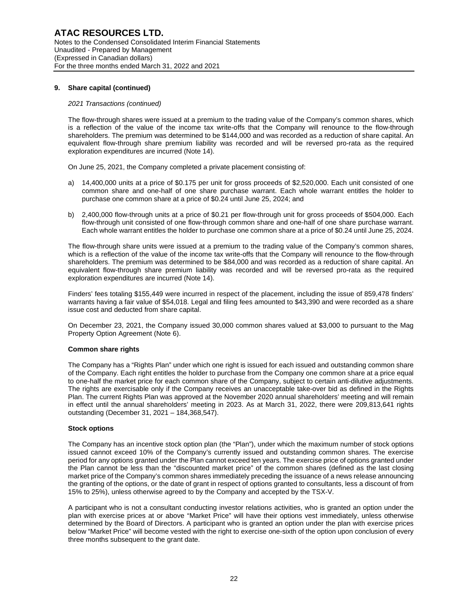## **9. Share capital (continued)**

#### *2021 Transactions (continued)*

The flow-through shares were issued at a premium to the trading value of the Company's common shares, which is a reflection of the value of the income tax write-offs that the Company will renounce to the flow-through shareholders. The premium was determined to be \$144,000 and was recorded as a reduction of share capital. An equivalent flow-through share premium liability was recorded and will be reversed pro-rata as the required exploration expenditures are incurred (Note 14).

On June 25, 2021, the Company completed a private placement consisting of:

- a) 14,400,000 units at a price of \$0.175 per unit for gross proceeds of \$2,520,000. Each unit consisted of one common share and one-half of one share purchase warrant. Each whole warrant entitles the holder to purchase one common share at a price of \$0.24 until June 25, 2024; and
- b) 2,400,000 flow-through units at a price of \$0.21 per flow-through unit for gross proceeds of \$504,000. Each flow-through unit consisted of one flow-through common share and one-half of one share purchase warrant. Each whole warrant entitles the holder to purchase one common share at a price of \$0.24 until June 25, 2024.

The flow-through share units were issued at a premium to the trading value of the Company's common shares, which is a reflection of the value of the income tax write-offs that the Company will renounce to the flow-through shareholders. The premium was determined to be \$84,000 and was recorded as a reduction of share capital. An equivalent flow-through share premium liability was recorded and will be reversed pro-rata as the required exploration expenditures are incurred (Note 14).

Finders' fees totaling \$155,449 were incurred in respect of the placement, including the issue of 859,478 finders' warrants having a fair value of \$54,018. Legal and filing fees amounted to \$43,390 and were recorded as a share issue cost and deducted from share capital.

On December 23, 2021, the Company issued 30,000 common shares valued at \$3,000 to pursuant to the Mag Property Option Agreement (Note 6).

## **Common share rights**

The Company has a "Rights Plan" under which one right is issued for each issued and outstanding common share of the Company. Each right entitles the holder to purchase from the Company one common share at a price equal to one-half the market price for each common share of the Company, subject to certain anti-dilutive adjustments. The rights are exercisable only if the Company receives an unacceptable take-over bid as defined in the Rights Plan. The current Rights Plan was approved at the November 2020 annual shareholders' meeting and will remain in effect until the annual shareholders' meeting in 2023. As at March 31, 2022, there were 209,813,641 rights outstanding (December 31, 2021 – 184,368,547).

#### **Stock options**

The Company has an incentive stock option plan (the "Plan"), under which the maximum number of stock options issued cannot exceed 10% of the Company's currently issued and outstanding common shares. The exercise period for any options granted under the Plan cannot exceed ten years. The exercise price of options granted under the Plan cannot be less than the "discounted market price" of the common shares (defined as the last closing market price of the Company's common shares immediately preceding the issuance of a news release announcing the granting of the options, or the date of grant in respect of options granted to consultants, less a discount of from 15% to 25%), unless otherwise agreed to by the Company and accepted by the TSX-V.

A participant who is not a consultant conducting investor relations activities, who is granted an option under the plan with exercise prices at or above "Market Price" will have their options vest immediately, unless otherwise determined by the Board of Directors. A participant who is granted an option under the plan with exercise prices below "Market Price" will become vested with the right to exercise one-sixth of the option upon conclusion of every three months subsequent to the grant date.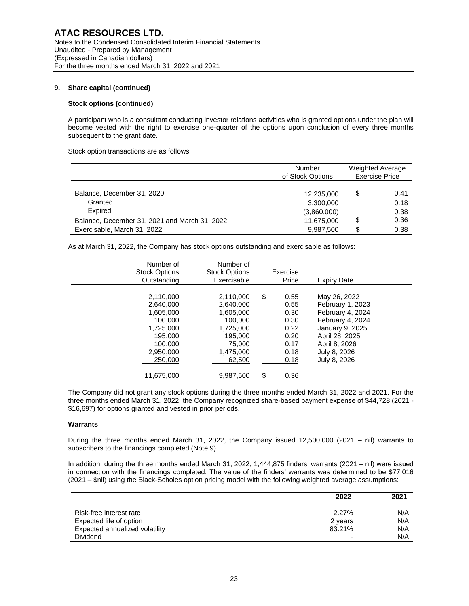## **9. Share capital (continued)**

## **Stock options (continued)**

A participant who is a consultant conducting investor relations activities who is granted options under the plan will become vested with the right to exercise one-quarter of the options upon conclusion of every three months subsequent to the grant date.

Stock option transactions are as follows:

|                                               | Number<br>of Stock Options |        | <b>Weighted Average</b><br><b>Exercise Price</b> |  |
|-----------------------------------------------|----------------------------|--------|--------------------------------------------------|--|
| Balance, December 31, 2020                    | 12,235,000                 | \$     | 0.41                                             |  |
| Granted                                       | 3,300,000                  |        | 0.18                                             |  |
| Expired                                       | (3,860,000)                |        | 0.38                                             |  |
| Balance, December 31, 2021 and March 31, 2022 | 11,675,000                 | \$     | 0.36                                             |  |
| Exercisable, March 31, 2022                   | 9,987,500                  | c<br>ъ | 0.38                                             |  |

As at March 31, 2022, the Company has stock options outstanding and exercisable as follows:

| Number of<br><b>Stock Options</b><br>Outstanding                                                                        | Number of<br><b>Stock Options</b><br>Exercisable                                                                     |          | Exercise<br>Price                                                            | <b>Expiry Date</b>                                                                                                                                             |
|-------------------------------------------------------------------------------------------------------------------------|----------------------------------------------------------------------------------------------------------------------|----------|------------------------------------------------------------------------------|----------------------------------------------------------------------------------------------------------------------------------------------------------------|
| 2,110,000<br>2,640,000<br>1.605.000<br>100.000<br>1,725,000<br>195,000<br>100,000<br>2,950,000<br>250,000<br>11,675,000 | 2,110,000<br>2,640,000<br>1.605.000<br>100,000<br>1,725,000<br>195.000<br>75,000<br>1,475,000<br>62,500<br>9,987,500 | \$<br>\$ | 0.55<br>0.55<br>0.30<br>0.30<br>0.22<br>0.20<br>0.17<br>0.18<br>0.18<br>0.36 | May 26, 2022<br>February 1, 2023<br>February 4, 2024<br>February 4, 2024<br>January 9, 2025<br>April 28, 2025<br>April 8, 2026<br>July 8, 2026<br>July 8, 2026 |

The Company did not grant any stock options during the three months ended March 31, 2022 and 2021. For the three months ended March 31, 2022, the Company recognized share-based payment expense of \$44,728 (2021 - \$16,697) for options granted and vested in prior periods.

# **Warrants**

During the three months ended March 31, 2022, the Company issued 12,500,000 (2021 – nil) warrants to subscribers to the financings completed (Note 9).

In addition, during the three months ended March 31, 2022, 1,444,875 finders' warrants (2021 – nil) were issued in connection with the financings completed. The value of the finders' warrants was determined to be \$77,016 (2021 – \$nil) using the Black-Scholes option pricing model with the following weighted average assumptions:

|                                | 2022    | 2021 |
|--------------------------------|---------|------|
|                                |         |      |
| Risk-free interest rate        | 2.27%   | N/A  |
| Expected life of option        | 2 years | N/A  |
| Expected annualized volatility | 83.21%  | N/A  |
| <b>Dividend</b>                |         | N/A  |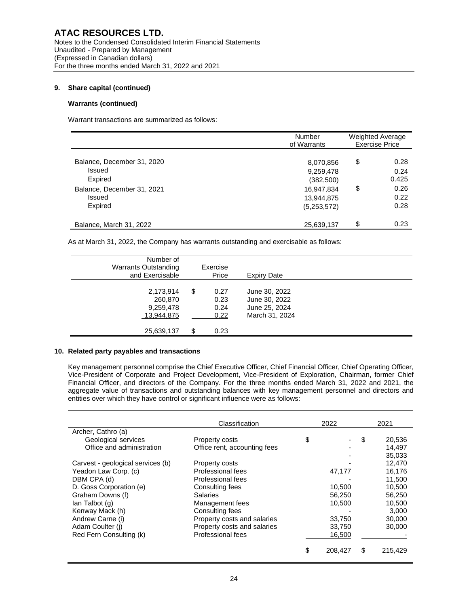# **9. Share capital (continued)**

# **Warrants (continued)**

Warrant transactions are summarized as follows:

|                                      | Number<br>of Warrants     | <b>Weighted Average</b><br><b>Exercise Price</b> |
|--------------------------------------|---------------------------|--------------------------------------------------|
| Balance, December 31, 2020<br>Issued | 8,070,856<br>9,259,478    | \$<br>0.28<br>0.24                               |
| Expired                              | (382,500)                 | 0.425                                            |
| Balance, December 31, 2021           | 16,947,834                | \$<br>0.26                                       |
| Issued<br>Expired                    | 13,944,875<br>(5,253,572) | 0.22<br>0.28                                     |
| Balance, March 31, 2022              | 25,639,137                | \$<br>0.23                                       |

As at March 31, 2022, the Company has warrants outstanding and exercisable as follows:

| Number of<br><b>Warrants Outstanding</b><br>and Exercisable |    | Exercise<br>Price            | <b>Expiry Date</b>                                                |  |
|-------------------------------------------------------------|----|------------------------------|-------------------------------------------------------------------|--|
| 2,173,914<br>260,870<br>9,259,478<br>13,944,875             | \$ | 0.27<br>0.23<br>0.24<br>0.22 | June 30, 2022<br>June 30, 2022<br>June 25, 2024<br>March 31, 2024 |  |
| 25,639,137                                                  | S  | 0.23                         |                                                                   |  |

# **10. Related party payables and transactions**

Key management personnel comprise the Chief Executive Officer, Chief Financial Officer, Chief Operating Officer, Vice-President of Corporate and Project Development, Vice-President of Exploration, Chairman, former Chief Financial Officer, and directors of the Company. For the three months ended March 31, 2022 and 2021, the aggregate value of transactions and outstanding balances with key management personnel and directors and entities over which they have control or significant influence were as follows:

|                                   | Classification               | 2022          | 2021 |         |
|-----------------------------------|------------------------------|---------------|------|---------|
| Archer, Cathro (a)                |                              |               |      |         |
| Geological services               | Property costs               | \$            | \$   | 20,536  |
| Office and administration         | Office rent, accounting fees |               |      | 14,497  |
|                                   |                              |               |      | 35,033  |
| Carvest - geological services (b) | Property costs               |               |      | 12,470  |
| Yeadon Law Corp. (c)              | Professional fees            | 47,177        |      | 16.176  |
| DBM CPA (d)                       | Professional fees            |               |      | 11.500  |
| D. Goss Corporation (e)           | Consulting fees              | 10,500        |      | 10,500  |
| Graham Downs (f)                  | <b>Salaries</b>              | 56,250        |      | 56,250  |
| lan Talbot (g)                    | Management fees              | 10.500        |      | 10.500  |
| Kenway Mack (h)                   | Consulting fees              |               |      | 3,000   |
| Andrew Carne (i)                  | Property costs and salaries  | 33,750        |      | 30,000  |
| Adam Coulter (i)                  | Property costs and salaries  | 33,750        |      | 30,000  |
| Red Fern Consulting (k)           | Professional fees            | 16,500        |      |         |
|                                   |                              |               |      |         |
|                                   |                              | \$<br>208.427 | \$   | 215.429 |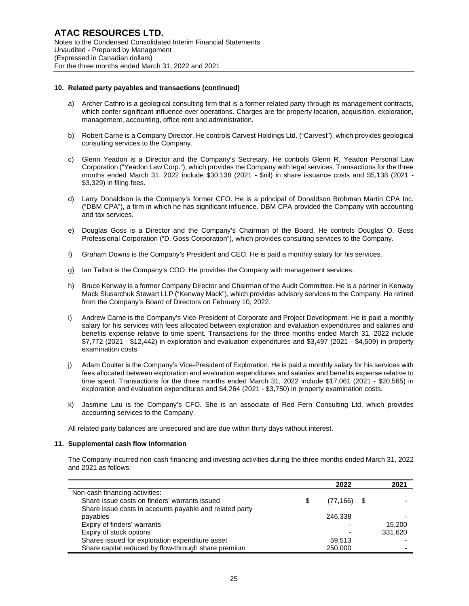#### **10. Related party payables and transactions (continued)**

- a) Archer Cathro is a geological consulting firm that is a former related party through its management contracts, which confer significant influence over operations. Charges are for property location, acquisition, exploration, management, accounting, office rent and administration.
- b) Robert Carne is a Company Director. He controls Carvest Holdings Ltd. ("Carvest"), which provides geological consulting services to the Company.
- c) Glenn Yeadon is a Director and the Company's Secretary. He controls Glenn R. Yeadon Personal Law Corporation ("Yeadon Law Corp."), which provides the Company with legal services. Transactions for the three months ended March 31, 2022 include \$30,138 (2021 - \$nil) in share issuance costs and \$5,138 (2021 - \$3,329) in filing fees.
- d) Larry Donaldson is the Company's former CFO. He is a principal of Donaldson Brohman Martin CPA Inc. ("DBM CPA"), a firm in which he has significant influence. DBM CPA provided the Company with accounting and tax services.
- e) Douglas Goss is a Director and the Company's Chairman of the Board. He controls Douglas O. Goss Professional Corporation ("D. Goss Corporation"), which provides consulting services to the Company.
- f) Graham Downs is the Company's President and CEO. He is paid a monthly salary for his services.
- g) Ian Talbot is the Company's COO. He provides the Company with management services.
- h) Bruce Kenway is a former Company Director and Chairman of the Audit Committee. He is a partner in Kenway Mack Slusarchuk Stewart LLP ("Kenway Mack"), which provides advisory services to the Company. He retired from the Company's Board of Directors on February 10, 2022.
- i) Andrew Carne is the Company's Vice-President of Corporate and Project Development. He is paid a monthly salary for his services with fees allocated between exploration and evaluation expenditures and salaries and benefits expense relative to time spent. Transactions for the three months ended March 31, 2022 include \$7,772 (2021 - \$12,442) in exploration and evaluation expenditures and \$3,497 (2021 - \$4,509) in property examination costs.
- j) Adam Coulter is the Company's Vice-President of Exploration. He is paid a monthly salary for his services with fees allocated between exploration and evaluation expenditures and salaries and benefits expense relative to time spent. Transactions for the three months ended March 31, 2022 include \$17,061 (2021 - \$20,565) in exploration and evaluation expenditures and \$4,264 (2021 - \$3,750) in property examination costs.
- k) Jasmine Lau is the Company's CFO. She is an associate of Red Fern Consulting Ltd, which provides accounting services to the Company.

All related party balances are unsecured and are due within thirty days without interest.

#### **11. Supplemental cash flow information**

The Company incurred non-cash financing and investing activities during the three months ended March 31, 2022 and 2021 as follows:

|                                                         |   | 2022           | 2021    |
|---------------------------------------------------------|---|----------------|---------|
| Non-cash financing activities:                          |   |                |         |
| Share issue costs on finders' warrants issued           | S | $(77, 166)$ \$ |         |
| Share issue costs in accounts payable and related party |   |                |         |
| payables                                                |   | 246.338        |         |
| Expiry of finders' warrants                             |   |                | 15.200  |
| Expiry of stock options                                 |   |                | 331.620 |
| Shares issued for exploration expenditure asset         |   | 59.513         |         |
| Share capital reduced by flow-through share premium     |   | 250,000        |         |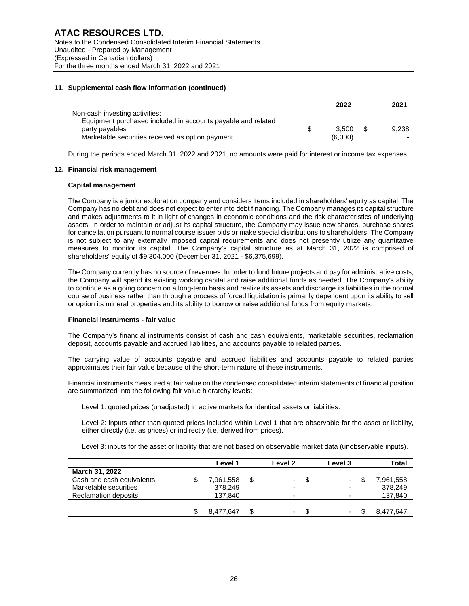# **11. Supplemental cash flow information (continued)**

|                                                              |   | 2022    | 2021  |
|--------------------------------------------------------------|---|---------|-------|
| Non-cash investing activities:                               |   |         |       |
| Equipment purchased included in accounts payable and related |   |         |       |
| party payables                                               | S | 3.500   | 9.238 |
| Marketable securities received as option payment             |   | (6,000) |       |

During the periods ended March 31, 2022 and 2021, no amounts were paid for interest or income tax expenses.

## **12. Financial risk management**

#### **Capital management**

The Company is a junior exploration company and considers items included in shareholders' equity as capital. The Company has no debt and does not expect to enter into debt financing. The Company manages its capital structure and makes adjustments to it in light of changes in economic conditions and the risk characteristics of underlying assets. In order to maintain or adjust its capital structure, the Company may issue new shares, purchase shares for cancellation pursuant to normal course issuer bids or make special distributions to shareholders. The Company is not subject to any externally imposed capital requirements and does not presently utilize any quantitative measures to monitor its capital. The Company's capital structure as at March 31, 2022 is comprised of shareholders' equity of \$9,304,000 (December 31, 2021 - \$6,375,699).

The Company currently has no source of revenues. In order to fund future projects and pay for administrative costs, the Company will spend its existing working capital and raise additional funds as needed. The Company's ability to continue as a going concern on a long-term basis and realize its assets and discharge its liabilities in the normal course of business rather than through a process of forced liquidation is primarily dependent upon its ability to sell or option its mineral properties and its ability to borrow or raise additional funds from equity markets.

## **Financial instruments - fair value**

The Company's financial instruments consist of cash and cash equivalents, marketable securities, reclamation deposit, accounts payable and accrued liabilities, and accounts payable to related parties.

The carrying value of accounts payable and accrued liabilities and accounts payable to related parties approximates their fair value because of the short-term nature of these instruments.

Financial instruments measured at fair value on the condensed consolidated interim statements of financial position are summarized into the following fair value hierarchy levels:

Level 1: quoted prices (unadjusted) in active markets for identical assets or liabilities.

Level 2: inputs other than quoted prices included within Level 1 that are observable for the asset or liability, either directly (i.e. as prices) or indirectly (i.e. derived from prices).

Level 3: inputs for the asset or liability that are not based on observable market data (unobservable inputs).

|                           | Level 1   | Level 2         |      | Level 3 |     | Total     |
|---------------------------|-----------|-----------------|------|---------|-----|-----------|
| March 31, 2022            |           |                 |      |         |     |           |
| Cash and cash equivalents | 7,961,558 | $\sim$ 10 $\pm$ | - \$ | $\sim$  | \$. | 7,961,558 |
| Marketable securities     | 378,249   | -               |      | -       |     | 378,249   |
| Reclamation deposits      | 137.840   | -               |      |         |     | 137,840   |
|                           |           |                 |      |         |     |           |
|                           | 8.477.647 | ۰.              |      |         |     | 8,477,647 |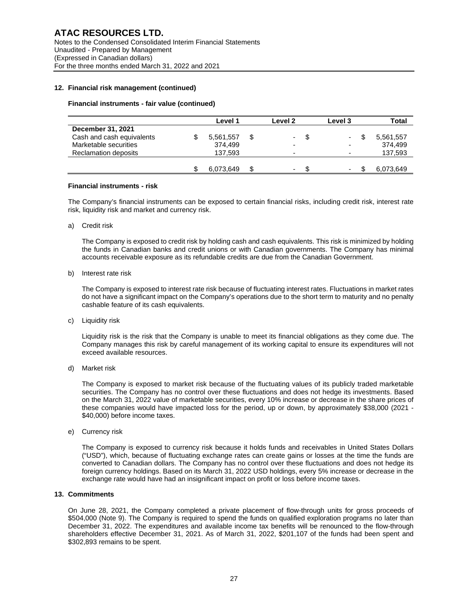## **12. Financial risk management (continued)**

#### **Financial instruments - fair value (continued)**

|                           | Level 1   |   | Level <sub>2</sub>       | Level 3                  | Total     |
|---------------------------|-----------|---|--------------------------|--------------------------|-----------|
| December 31, 2021         |           |   |                          |                          |           |
| Cash and cash equivalents | 5,561,557 | S | ۰.                       | $\sim$                   | 5,561,557 |
| Marketable securities     | 374.499   |   | $\overline{\phantom{0}}$ | $\overline{\phantom{0}}$ | 374.499   |
| Reclamation deposits      | 137.593   |   | $\overline{\phantom{0}}$ | $\overline{\phantom{0}}$ | 137,593   |
|                           |           |   |                          |                          |           |
|                           | 6.073.649 | S | $\overline{\phantom{0}}$ | $\overline{\phantom{a}}$ | 6,073,649 |
|                           |           |   |                          |                          |           |

#### **Financial instruments - risk**

The Company's financial instruments can be exposed to certain financial risks, including credit risk, interest rate risk, liquidity risk and market and currency risk.

a) Credit risk

The Company is exposed to credit risk by holding cash and cash equivalents. This risk is minimized by holding the funds in Canadian banks and credit unions or with Canadian governments. The Company has minimal accounts receivable exposure as its refundable credits are due from the Canadian Government.

b) Interest rate risk

The Company is exposed to interest rate risk because of fluctuating interest rates. Fluctuations in market rates do not have a significant impact on the Company's operations due to the short term to maturity and no penalty cashable feature of its cash equivalents.

c) Liquidity risk

Liquidity risk is the risk that the Company is unable to meet its financial obligations as they come due. The Company manages this risk by careful management of its working capital to ensure its expenditures will not exceed available resources.

d) Market risk

The Company is exposed to market risk because of the fluctuating values of its publicly traded marketable securities. The Company has no control over these fluctuations and does not hedge its investments. Based on the March 31, 2022 value of marketable securities, every 10% increase or decrease in the share prices of these companies would have impacted loss for the period, up or down, by approximately \$38,000 (2021 - \$40,000) before income taxes.

e) Currency risk

The Company is exposed to currency risk because it holds funds and receivables in United States Dollars ("USD"), which, because of fluctuating exchange rates can create gains or losses at the time the funds are converted to Canadian dollars. The Company has no control over these fluctuations and does not hedge its foreign currency holdings. Based on its March 31, 2022 USD holdings, every 5% increase or decrease in the exchange rate would have had an insignificant impact on profit or loss before income taxes.

## **13. Commitments**

On June 28, 2021, the Company completed a private placement of flow-through units for gross proceeds of \$504,000 (Note 9). The Company is required to spend the funds on qualified exploration programs no later than December 31, 2022. The expenditures and available income tax benefits will be renounced to the flow-through shareholders effective December 31, 2021. As of March 31, 2022, \$201,107 of the funds had been spent and \$302,893 remains to be spent.